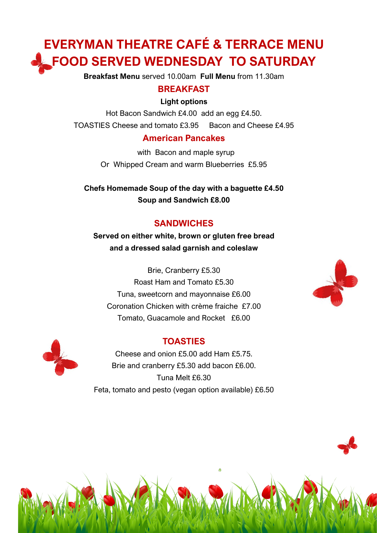# **EVERYMAN THEATRE CAFÉ & TERRACE MENU FOOD SERVED WEDNESDAY TO SATURDAY**

**Breakfast Menu** served 10.00am **Full Menu** from 11.30am

#### **BREAKFAST**

#### **Light options**

Hot Bacon Sandwich £4.00 add an egg £4.50. TOASTIES Cheese and tomato £3.95 Bacon and Cheese £4.95

#### **American Pancakes**

 with Bacon and maple syrup Or Whipped Cream and warm Blueberries £5.95

**Chefs Homemade Soup of the day with a baguette £4.50 Soup and Sandwich £8.00**

## **SANDWICHES**

**Served on either white, brown or gluten free bread and a dressed salad garnish and coleslaw**

Brie, Cranberry £5.30 Roast Ham and Tomato £5.30 Tuna, sweetcorn and mayonnaise £6.00 Coronation Chicken with crème fraiche £7.00 Tomato, Guacamole and Rocket £6.00

## **TOASTIES**

Cheese and onion £5.00 add Ham £5.75. Brie and cranberry £5.30 add bacon £6.00. Tuna Melt £6.30 Feta, tomato and pesto (vegan option available) £6.50